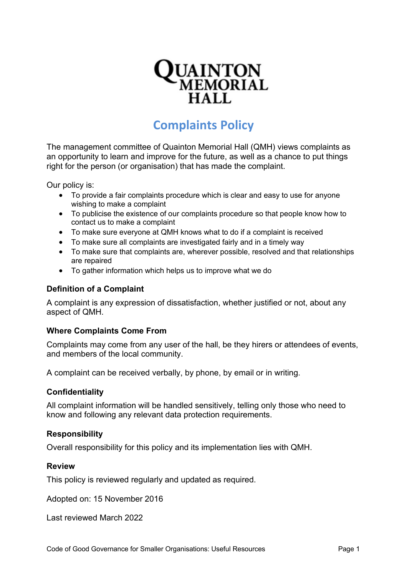

# **Complaints Policy**

The management committee of Quainton Memorial Hall (QMH) views complaints as an opportunity to learn and improve for the future, as well as a chance to put things right for the person (or organisation) that has made the complaint.

Our policy is:

- To provide a fair complaints procedure which is clear and easy to use for anyone wishing to make a complaint
- To publicise the existence of our complaints procedure so that people know how to contact us to make a complaint
- To make sure everyone at QMH knows what to do if a complaint is received
- To make sure all complaints are investigated fairly and in a timely way
- To make sure that complaints are, wherever possible, resolved and that relationships are repaired
- To gather information which helps us to improve what we do

#### **Definition of a Complaint**

A complaint is any expression of dissatisfaction, whether justified or not, about any aspect of QMH.

#### **Where Complaints Come From**

Complaints may come from any user of the hall, be they hirers or attendees of events, and members of the local community.

A complaint can be received verbally, by phone, by email or in writing.

#### **Confidentiality**

All complaint information will be handled sensitively, telling only those who need to know and following any relevant data protection requirements.

#### **Responsibility**

Overall responsibility for this policy and its implementation lies with QMH.

#### **Review**

This policy is reviewed regularly and updated as required.

Adopted on: 15 November 2016

Last reviewed March 2022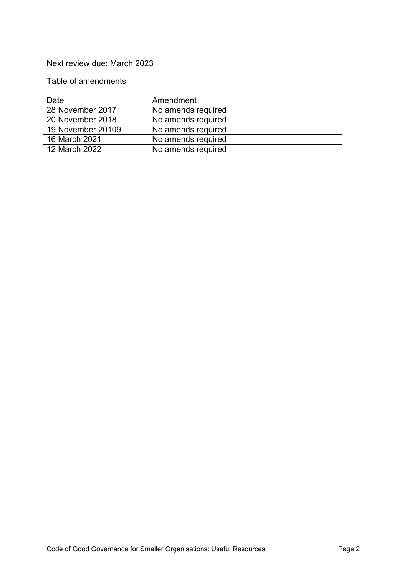## Next review due: March 2023

# Table of amendments

| Date              | Amendment          |
|-------------------|--------------------|
| 28 November 2017  | No amends required |
| 20 November 2018  | No amends required |
| 19 November 20109 | No amends required |
| 16 March 2021     | No amends required |
| 12 March 2022     | No amends required |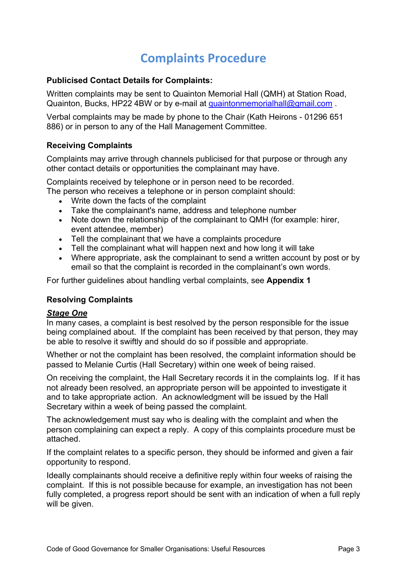# **Complaints Procedure**

## **Publicised Contact Details for Complaints:**

Written complaints may be sent to Quainton Memorial Hall (QMH) at Station Road, Quainton, Bucks, HP22 4BW or by e-mail at quaintonmemorialhall@gmail.com.

Verbal complaints may be made by phone to the Chair (Kath Heirons - 01296 651 886) or in person to any of the Hall Management Committee.

## **Receiving Complaints**

Complaints may arrive through channels publicised for that purpose or through any other contact details or opportunities the complainant may have.

Complaints received by telephone or in person need to be recorded.

- The person who receives a telephone or in person complaint should:
	- Write down the facts of the complaint
	- Take the complainant's name, address and telephone number
	- Note down the relationship of the complainant to QMH (for example: hirer, event attendee, member)
	- Tell the complainant that we have a complaints procedure
	- Tell the complainant what will happen next and how long it will take
	- Where appropriate, ask the complainant to send a written account by post or by email so that the complaint is recorded in the complainant's own words.

For further guidelines about handling verbal complaints, see **Appendix 1**

#### **Resolving Complaints**

#### *Stage One*

In many cases, a complaint is best resolved by the person responsible for the issue being complained about. If the complaint has been received by that person, they may be able to resolve it swiftly and should do so if possible and appropriate.

Whether or not the complaint has been resolved, the complaint information should be passed to Melanie Curtis (Hall Secretary) within one week of being raised.

On receiving the complaint, the Hall Secretary records it in the complaints log. If it has not already been resolved, an appropriate person will be appointed to investigate it and to take appropriate action. An acknowledgment will be issued by the Hall Secretary within a week of being passed the complaint.

The acknowledgement must say who is dealing with the complaint and when the person complaining can expect a reply. A copy of this complaints procedure must be attached.

If the complaint relates to a specific person, they should be informed and given a fair opportunity to respond.

Ideally complainants should receive a definitive reply within four weeks of raising the complaint. If this is not possible because for example, an investigation has not been fully completed, a progress report should be sent with an indication of when a full reply will be given.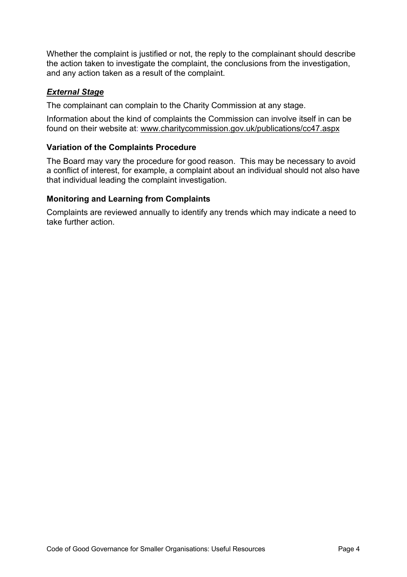Whether the complaint is justified or not, the reply to the complainant should describe the action taken to investigate the complaint, the conclusions from the investigation, and any action taken as a result of the complaint.

## *External Stage*

The complainant can complain to the Charity Commission at any stage.

Information about the kind of complaints the Commission can involve itself in can be found on their website at: <www.charitycommission.gov.uk/publications/cc47.aspx>

## **Variation of the Complaints Procedure**

The Board may vary the procedure for good reason. This may be necessary to avoid a conflict of interest, for example, a complaint about an individual should not also have that individual leading the complaint investigation.

## **Monitoring and Learning from Complaints**

Complaints are reviewed annually to identify any trends which may indicate a need to take further action.